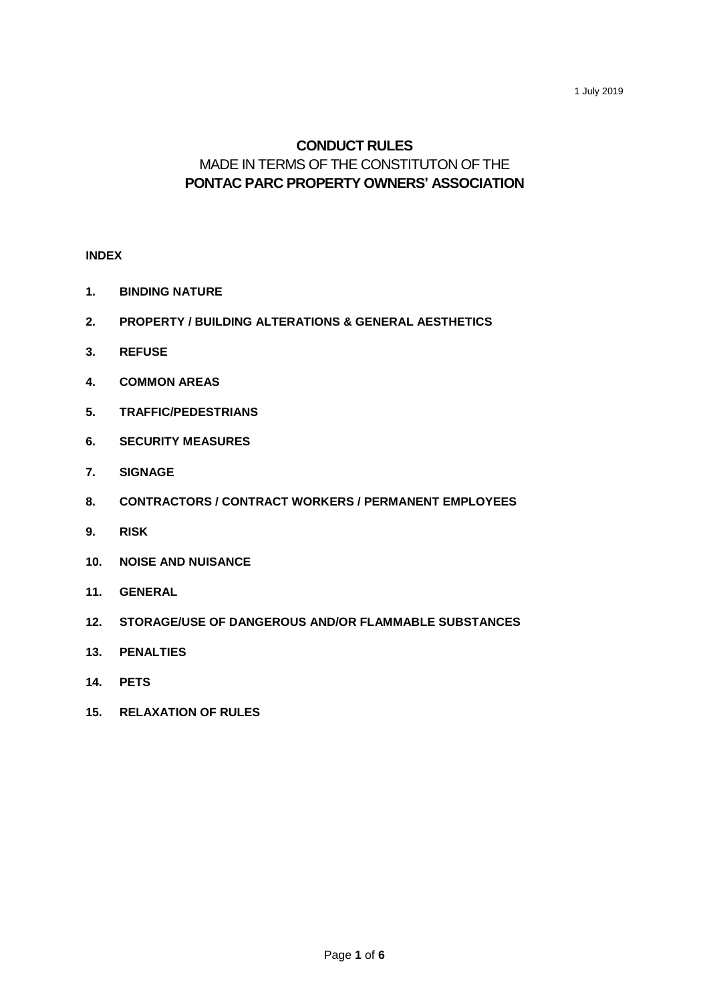# **CONDUCT RULES** MADE IN TERMS OF THE CONSTITUTON OF THE **PONTAC PARC PROPERTY OWNERS' ASSOCIATION**

## **INDEX**

- **1. BINDING NATURE**
- **2. PROPERTY / BUILDING ALTERATIONS & GENERAL AESTHETICS**
- **3. REFUSE**
- **4. COMMON AREAS**
- **5. TRAFFIC/PEDESTRIANS**
- **6. SECURITY MEASURES**
- **7. SIGNAGE**
- **8. CONTRACTORS / CONTRACT WORKERS / PERMANENT EMPLOYEES**
- **9. RISK**
- **10. NOISE AND NUISANCE**
- **11. GENERAL**
- **12. STORAGE/USE OF DANGEROUS AND/OR FLAMMABLE SUBSTANCES**
- **13. PENALTIES**
- **14. PETS**
- **15. RELAXATION OF RULES**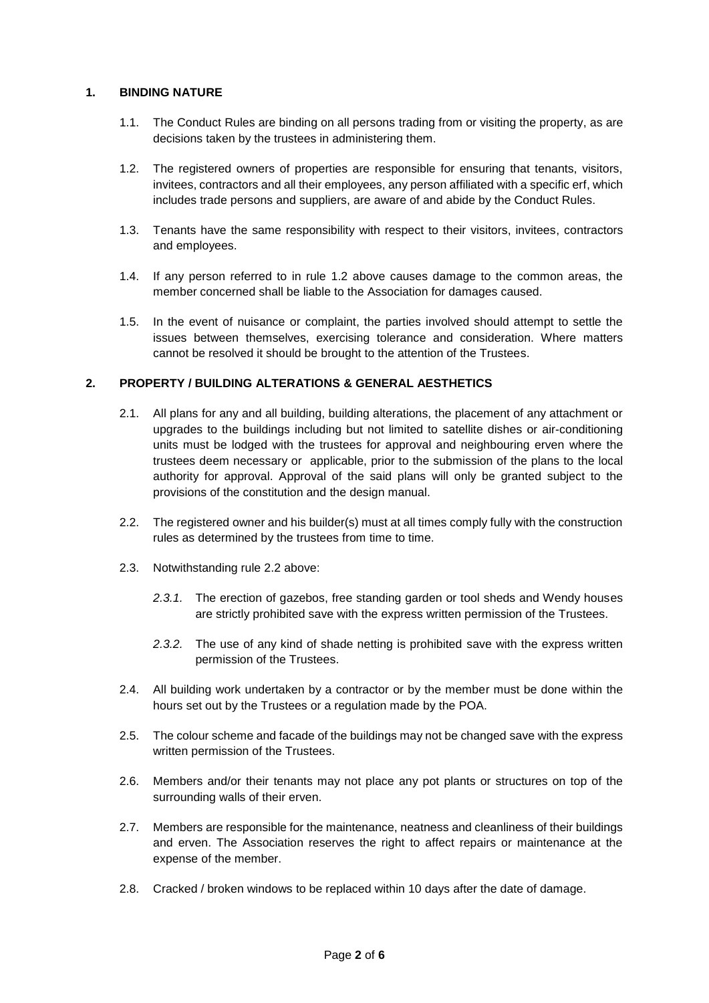# **1. BINDING NATURE**

- 1.1. The Conduct Rules are binding on all persons trading from or visiting the property, as are decisions taken by the trustees in administering them.
- 1.2. The registered owners of properties are responsible for ensuring that tenants, visitors, invitees, contractors and all their employees, any person affiliated with a specific erf, which includes trade persons and suppliers, are aware of and abide by the Conduct Rules.
- 1.3. Tenants have the same responsibility with respect to their visitors, invitees, contractors and employees.
- 1.4. If any person referred to in rule 1.2 above causes damage to the common areas, the member concerned shall be liable to the Association for damages caused.
- 1.5. In the event of nuisance or complaint, the parties involved should attempt to settle the issues between themselves, exercising tolerance and consideration. Where matters cannot be resolved it should be brought to the attention of the Trustees.

## **2. PROPERTY / BUILDING ALTERATIONS & GENERAL AESTHETICS**

- 2.1. All plans for any and all building, building alterations, the placement of any attachment or upgrades to the buildings including but not limited to satellite dishes or air-conditioning units must be lodged with the trustees for approval and neighbouring erven where the trustees deem necessary or applicable, prior to the submission of the plans to the local authority for approval. Approval of the said plans will only be granted subject to the provisions of the constitution and the design manual.
- 2.2. The registered owner and his builder(s) must at all times comply fully with the construction rules as determined by the trustees from time to time.
- 2.3. Notwithstanding rule 2.2 above:
	- 2.3.1. The erection of gazebos, free standing garden or tool sheds and Wendy houses are strictly prohibited save with the express written permission of the Trustees.
	- *2.3.2.* The use of any kind of shade netting is prohibited save with the express written permission of the Trustees.
- 2.4. All building work undertaken by a contractor or by the member must be done within the hours set out by the Trustees or a regulation made by the POA.
- 2.5. The colour scheme and facade of the buildings may not be changed save with the express written permission of the Trustees.
- 2.6. Members and/or their tenants may not place any pot plants or structures on top of the surrounding walls of their erven.
- 2.7. Members are responsible for the maintenance, neatness and cleanliness of their buildings and erven. The Association reserves the right to affect repairs or maintenance at the expense of the member.
- 2.8. Cracked / broken windows to be replaced within 10 days after the date of damage.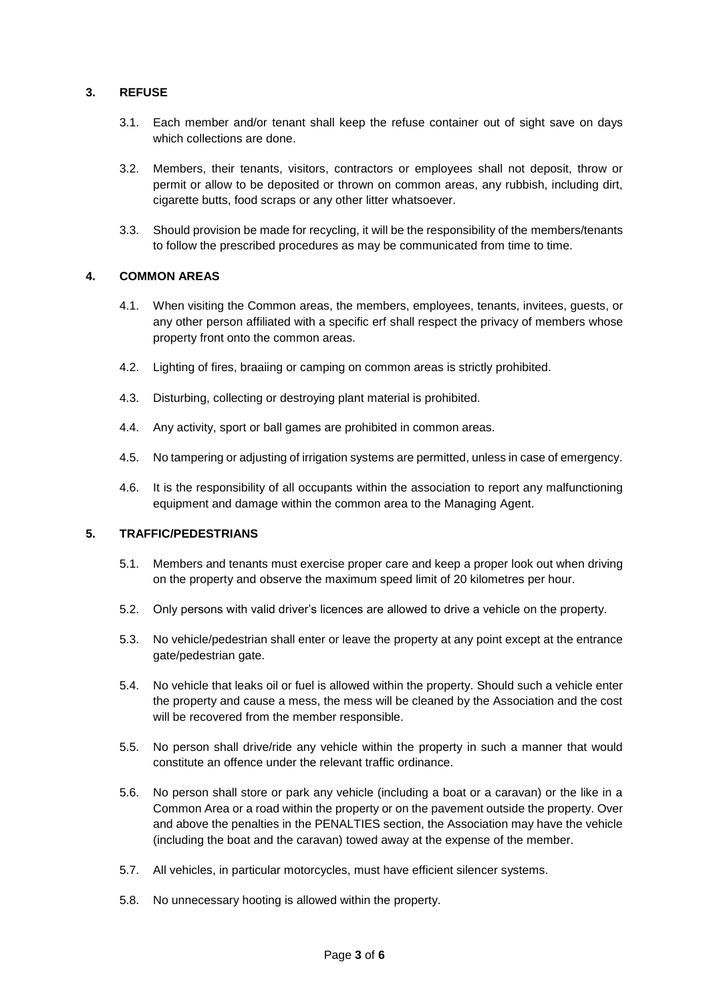# **3. REFUSE**

- 3.1. Each member and/or tenant shall keep the refuse container out of sight save on days which collections are done.
- 3.2. Members, their tenants, visitors, contractors or employees shall not deposit, throw or permit or allow to be deposited or thrown on common areas, any rubbish, including dirt, cigarette butts, food scraps or any other litter whatsoever.
- 3.3. Should provision be made for recycling, it will be the responsibility of the members/tenants to follow the prescribed procedures as may be communicated from time to time.

## **4. COMMON AREAS**

- 4.1. When visiting the Common areas, the members, employees, tenants, invitees, guests, or any other person affiliated with a specific erf shall respect the privacy of members whose property front onto the common areas.
- 4.2. Lighting of fires, braaiing or camping on common areas is strictly prohibited.
- 4.3. Disturbing, collecting or destroying plant material is prohibited.
- 4.4. Any activity, sport or ball games are prohibited in common areas.
- 4.5. No tampering or adjusting of irrigation systems are permitted, unless in case of emergency.
- 4.6. It is the responsibility of all occupants within the association to report any malfunctioning equipment and damage within the common area to the Managing Agent.

## **5. TRAFFIC/PEDESTRIANS**

- 5.1. Members and tenants must exercise proper care and keep a proper look out when driving on the property and observe the maximum speed limit of 20 kilometres per hour.
- 5.2. Only persons with valid driver's licences are allowed to drive a vehicle on the property.
- 5.3. No vehicle/pedestrian shall enter or leave the property at any point except at the entrance gate/pedestrian gate.
- 5.4. No vehicle that leaks oil or fuel is allowed within the property. Should such a vehicle enter the property and cause a mess, the mess will be cleaned by the Association and the cost will be recovered from the member responsible.
- 5.5. No person shall drive/ride any vehicle within the property in such a manner that would constitute an offence under the relevant traffic ordinance.
- 5.6. No person shall store or park any vehicle (including a boat or a caravan) or the like in a Common Area or a road within the property or on the pavement outside the property. Over and above the penalties in the PENALTIES section, the Association may have the vehicle (including the boat and the caravan) towed away at the expense of the member.
- 5.7. All vehicles, in particular motorcycles, must have efficient silencer systems.
- 5.8. No unnecessary hooting is allowed within the property.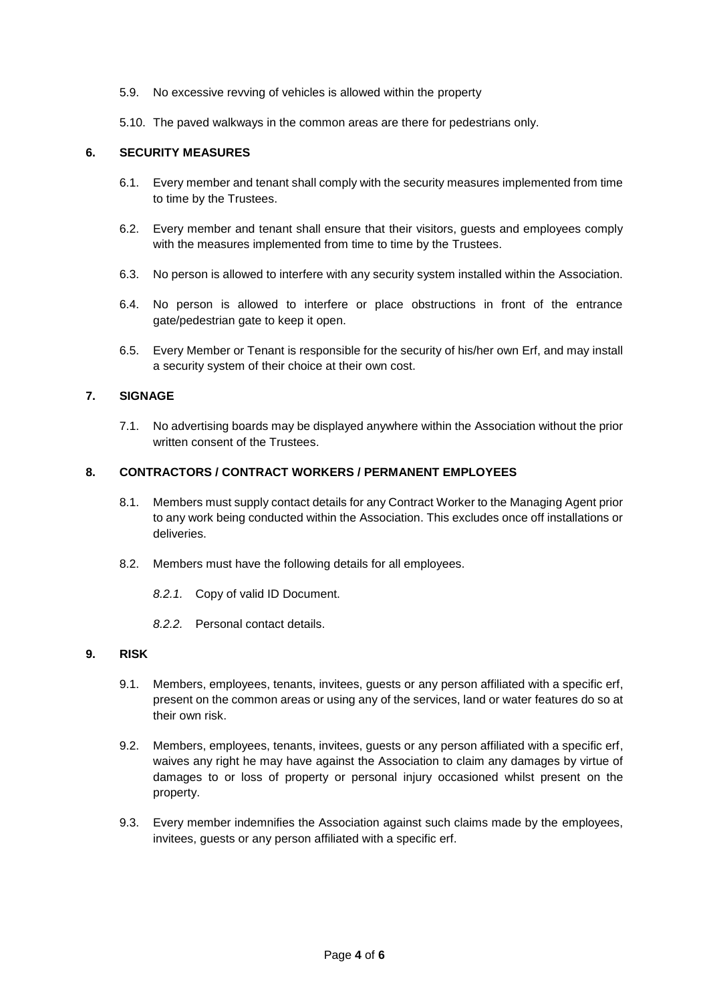- 5.9. No excessive revving of vehicles is allowed within the property
- 5.10. The paved walkways in the common areas are there for pedestrians only.

## **6. SECURITY MEASURES**

- 6.1. Every member and tenant shall comply with the security measures implemented from time to time by the Trustees.
- 6.2. Every member and tenant shall ensure that their visitors, guests and employees comply with the measures implemented from time to time by the Trustees.
- 6.3. No person is allowed to interfere with any security system installed within the Association.
- 6.4. No person is allowed to interfere or place obstructions in front of the entrance gate/pedestrian gate to keep it open.
- 6.5. Every Member or Tenant is responsible for the security of his/her own Erf, and may install a security system of their choice at their own cost.

#### **7. SIGNAGE**

7.1. No advertising boards may be displayed anywhere within the Association without the prior written consent of the Trustees.

#### **8. CONTRACTORS / CONTRACT WORKERS / PERMANENT EMPLOYEES**

- 8.1. Members must supply contact details for any Contract Worker to the Managing Agent prior to any work being conducted within the Association. This excludes once off installations or deliveries.
- 8.2. Members must have the following details for all employees.
	- *8.2.1.* Copy of valid ID Document.
	- *8.2.2.* Personal contact details.

## **9. RISK**

- 9.1. Members, employees, tenants, invitees, guests or any person affiliated with a specific erf, present on the common areas or using any of the services, land or water features do so at their own risk.
- 9.2. Members, employees, tenants, invitees, guests or any person affiliated with a specific erf, waives any right he may have against the Association to claim any damages by virtue of damages to or loss of property or personal injury occasioned whilst present on the property.
- 9.3. Every member indemnifies the Association against such claims made by the employees, invitees, guests or any person affiliated with a specific erf.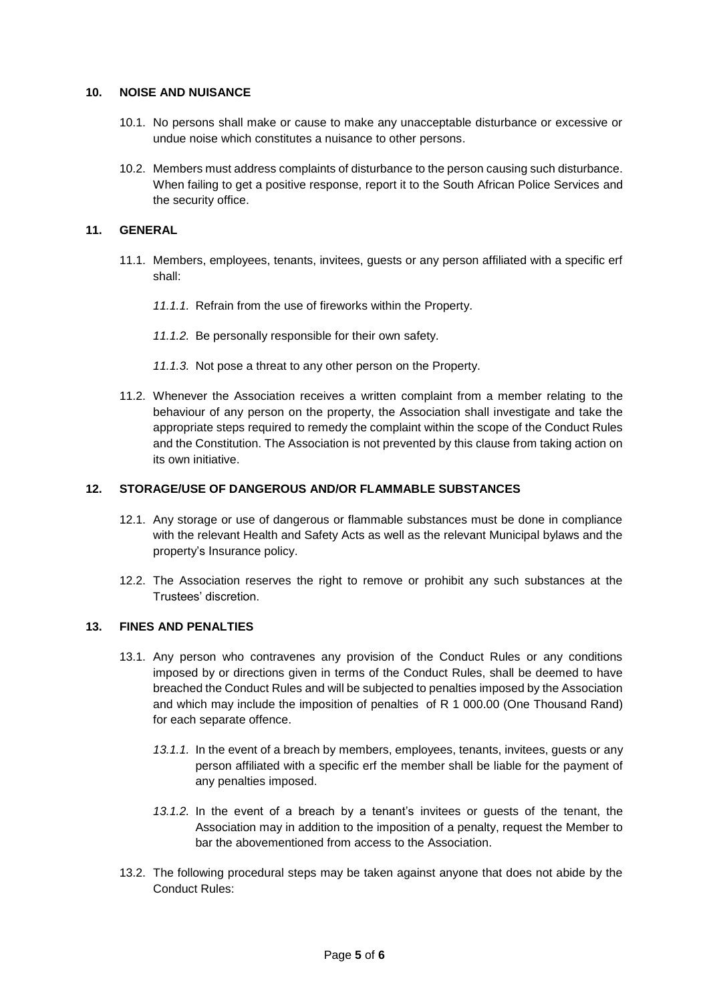### **10. NOISE AND NUISANCE**

- 10.1. No persons shall make or cause to make any unacceptable disturbance or excessive or undue noise which constitutes a nuisance to other persons.
- 10.2. Members must address complaints of disturbance to the person causing such disturbance. When failing to get a positive response, report it to the South African Police Services and the security office.

## **11. GENERAL**

- 11.1. Members, employees, tenants, invitees, guests or any person affiliated with a specific erf shall:
	- *11.1.1.* Refrain from the use of fireworks within the Property.
	- *11.1.2.* Be personally responsible for their own safety.
	- *11.1.3.* Not pose a threat to any other person on the Property.
- 11.2. Whenever the Association receives a written complaint from a member relating to the behaviour of any person on the property, the Association shall investigate and take the appropriate steps required to remedy the complaint within the scope of the Conduct Rules and the Constitution. The Association is not prevented by this clause from taking action on its own initiative.

## **12. STORAGE/USE OF DANGEROUS AND/OR FLAMMABLE SUBSTANCES**

- 12.1. Any storage or use of dangerous or flammable substances must be done in compliance with the relevant Health and Safety Acts as well as the relevant Municipal bylaws and the property's Insurance policy.
- 12.2. The Association reserves the right to remove or prohibit any such substances at the Trustees' discretion.

#### **13. FINES AND PENALTIES**

- 13.1. Any person who contravenes any provision of the Conduct Rules or any conditions imposed by or directions given in terms of the Conduct Rules, shall be deemed to have breached the Conduct Rules and will be subjected to penalties imposed by the Association and which may include the imposition of penalties of R 1 000.00 (One Thousand Rand) for each separate offence.
	- *13.1.1.* In the event of a breach by members, employees, tenants, invitees, guests or any person affiliated with a specific erf the member shall be liable for the payment of any penalties imposed.
	- *13.1.2.* In the event of a breach by a tenant's invitees or guests of the tenant, the Association may in addition to the imposition of a penalty, request the Member to bar the abovementioned from access to the Association.
- 13.2. The following procedural steps may be taken against anyone that does not abide by the Conduct Rules: